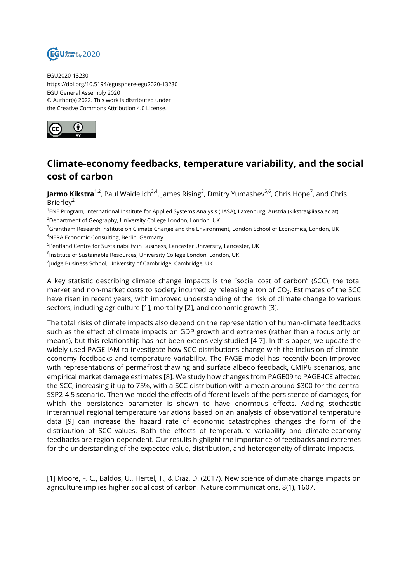

EGU2020-13230 https://doi.org/10.5194/egusphere-egu2020-13230 EGU General Assembly 2020 © Author(s) 2022. This work is distributed under the Creative Commons Attribution 4.0 License.



## **Climate-economy feedbacks, temperature variability, and the social cost of carbon**

**Jarmo Kikstra**<sup>1,2</sup>, Paul Waidelich<sup>3,4</sup>, James Rising<sup>3</sup>, Dmitry Yumashev<sup>5,6</sup>, Chris Hope<sup>7</sup>, and Chris Brierley<sup>2</sup>

1 ENE Program, International Institute for Applied Systems Analysis (IIASA), Laxenburg, Austria (kikstra@iiasa.ac.at) <sup>2</sup>Department of Geography, University College London, London, UK

<sup>3</sup>Grantham Research Institute on Climate Change and the Environment, London School of Economics, London, UK <sup>4</sup>NERA Economic Consulting, Berlin, Germany

<sup>5</sup>Pentland Centre for Sustainability in Business, Lancaster University, Lancaster, UK

 $^6$ Institute of Sustainable Resources, University College London, London, UK

 $^7$ Judge Business School, University of Cambridge, Cambridge, UK

A key statistic describing climate change impacts is the "social cost of carbon" (SCC), the total market and non-market costs to society incurred by releasing a ton of CO $_{\rm 2}$ . Estimates of the SCC have risen in recent years, with improved understanding of the risk of climate change to various sectors, including agriculture [1], mortality [2], and economic growth [3].

The total risks of climate impacts also depend on the representation of human-climate feedbacks such as the effect of climate impacts on GDP growth and extremes (rather than a focus only on means), but this relationship has not been extensively studied [4-7]. In this paper, we update the widely used PAGE IAM to investigate how SCC distributions change with the inclusion of climateeconomy feedbacks and temperature variability. The PAGE model has recently been improved with representations of permafrost thawing and surface albedo feedback, CMIP6 scenarios, and empirical market damage estimates [8]. We study how changes from PAGE09 to PAGE-ICE affected the SCC, increasing it up to 75%, with a SCC distribution with a mean around \$300 for the central SSP2-4.5 scenario. Then we model the effects of different levels of the persistence of damages, for which the persistence parameter is shown to have enormous effects. Adding stochastic interannual regional temperature variations based on an analysis of observational temperature data [9] can increase the hazard rate of economic catastrophes changes the form of the distribution of SCC values. Both the effects of temperature variability and climate-economy feedbacks are region-dependent. Our results highlight the importance of feedbacks and extremes for the understanding of the expected value, distribution, and heterogeneity of climate impacts.

[1] Moore, F. C., Baldos, U., Hertel, T., & Diaz, D. (2017). New science of climate change impacts on agriculture implies higher social cost of carbon. Nature communications, 8(1), 1607.